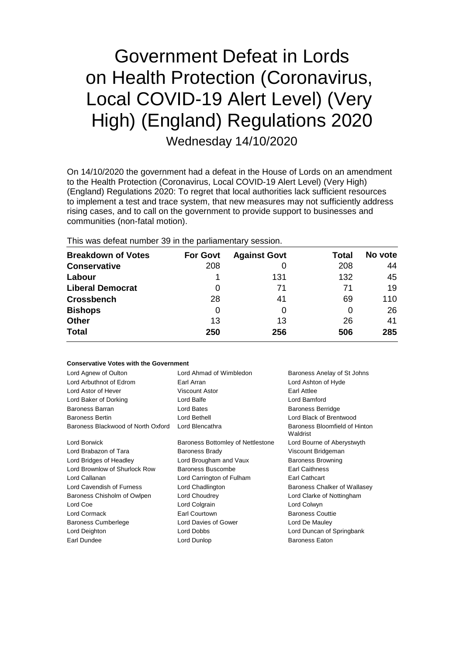# Government Defeat in Lords on Health Protection (Coronavirus, Local COVID-19 Alert Level) (Very High) (England) Regulations 2020 Wednesday 14/10/2020

On 14/10/2020 the government had a defeat in the House of Lords on an amendment to the Health Protection (Coronavirus, Local COVID-19 Alert Level) (Very High) (England) Regulations 2020: To regret that local authorities lack sufficient resources to implement a test and trace system, that new measures may not sufficiently address rising cases, and to call on the government to provide support to businesses and communities (non-fatal motion).

This was defeat number 39 in the parliamentary session.

| <b>Breakdown of Votes</b> | <b>For Govt</b> | <b>Against Govt</b> | Total | No vote |
|---------------------------|-----------------|---------------------|-------|---------|
| <b>Conservative</b>       | 208             |                     | 208   | 44      |
| Labour                    |                 | 131                 | 132   | 45      |
| <b>Liberal Democrat</b>   | O               | 71                  | 71    | 19      |
| <b>Crossbench</b>         | 28              | 41                  | 69    | 110     |
| <b>Bishops</b>            | 0               | 0                   | 0     | 26      |
| <b>Other</b>              | 13              | 13                  | 26    | 41      |
| <b>Total</b>              | 250             | 256                 | 506   | 285     |

#### **Conservative Votes with the Government**

| Lord Agnew of Oulton<br>Lord Arbuthnot of Edrom<br>Lord Astor of Hever | Lord Ahmad of Wimbledon<br>Earl Arran<br><b>Viscount Astor</b> | Baroness Anelay of St Johns<br>Lord Ashton of Hyde<br>Earl Attlee |
|------------------------------------------------------------------------|----------------------------------------------------------------|-------------------------------------------------------------------|
| Lord Baker of Dorking                                                  | Lord Balfe                                                     | Lord Bamford                                                      |
| Baroness Barran                                                        | Lord Bates                                                     | <b>Baroness Berridge</b>                                          |
| <b>Baroness Bertin</b>                                                 | Lord Bethell                                                   | Lord Black of Brentwood                                           |
| Baroness Blackwood of North Oxford                                     | Lord Blencathra                                                | Baroness Bloomfield of Hinton<br>Waldrist                         |
| Lord Borwick                                                           | Baroness Bottomley of Nettlestone                              | Lord Bourne of Aberystwyth                                        |
| Lord Brabazon of Tara                                                  | <b>Baroness Brady</b>                                          | Viscount Bridgeman                                                |
| Lord Bridges of Headley                                                | Lord Brougham and Vaux                                         | <b>Baroness Browning</b>                                          |
| Lord Brownlow of Shurlock Row                                          | Baroness Buscombe                                              | <b>Earl Caithness</b>                                             |
| Lord Callanan                                                          | Lord Carrington of Fulham                                      | <b>Earl Cathcart</b>                                              |
| Lord Cavendish of Furness                                              | Lord Chadlington                                               | Baroness Chalker of Wallasey                                      |
| Baroness Chisholm of Owlpen                                            | Lord Choudrey                                                  | Lord Clarke of Nottingham                                         |
| Lord Coe                                                               | Lord Colgrain                                                  | Lord Colwyn                                                       |
| Lord Cormack                                                           | Earl Courtown                                                  | <b>Baroness Couttie</b>                                           |
| <b>Baroness Cumberlege</b>                                             | Lord Davies of Gower                                           | Lord De Mauley                                                    |
| Lord Deighton                                                          | Lord Dobbs                                                     | Lord Duncan of Springbank                                         |
| Earl Dundee                                                            | Lord Dunlop                                                    | <b>Baroness Eaton</b>                                             |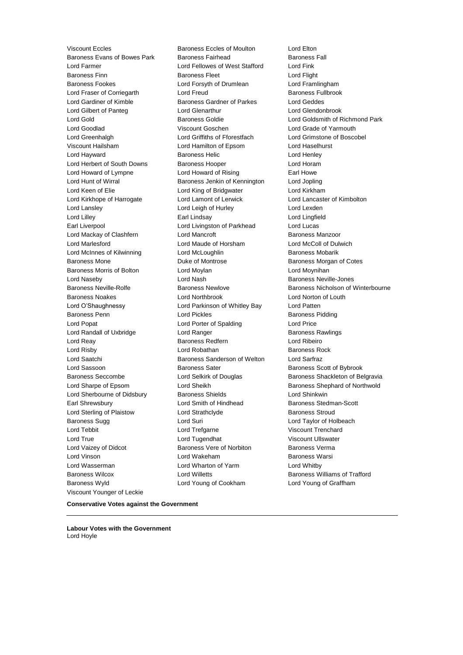Viscount Eccles **Baroness Eccles of Moulton** Lord Elton<br>Baroness Evans of Bowes Park Baroness Fairhead **Baroness Fall** Baroness Evans of Bowes Park Lord Farmer Lord Fellowes of West Stafford Lord Fink Baroness Finn **Baroness Fleet** Lord Flight Baroness Fookes Lord Forsyth of Drumlean Lord Framlingham Lord Fraser of Corriegarth Lord Freud Lord Freud Baroness Fullbrook Lord Gardiner of Kimble Baroness Gardner of Parkes Lord Geddes Lord Gilbert of Panteg Lord Glenarthur Lord Glendonbrook Lord Gold Baroness Goldie Lord Goldsmith of Richmond Park Lord Goodlad Viscount Goschen Lord Grade of Yarmouth Lord Greenhalgh Lord Griffiths of Fforestfach Lord Grimstone of Boscobel Viscount Hailsham Lord Hamilton of Epsom Lord Haselhurst Lord Hayward **Baroness Helic** Lord Henley **Constant Lord Henley** Lord Herbert of South Downs Baroness Hooper Lord Horam Lord Howard of Lympne Lord Howard of Rising Earl Howe Lord Hunt of Wirral Baroness Jenkin of Kennington Lord Jopling Lord Keen of Elie Lord King of Bridgwater Lord Kirkham Lord Kirkhope of Harrogate Lord Lamont of Lerwick Lord Lancaster of Kimbolton Lord Lansley **Lord Leigh of Hurley** Lord Lexden Lord Lilley Earl Lindsay Lord Lingfield Earl Liverpool **Lord Livingston of Parkhead** Lord Lucas Lord Mackay of Clashfern **Lord Mancroft Lord Mancroft** Baroness Manzoor Lord Marlesford **Lord Maude of Horsham** Lord McColl of Dulwich Lord McInnes of Kilwinning Lord McLoughlin Baroness Mobarik Baroness Mone Duke of Montrose Baroness Morgan of Cotes Baroness Morris of Bolton **Lord Moylan** Lord Moynihan Lord Moynihan Lord Naseby Lord Nash Baroness Neville-Jones Baroness Neville-Rolfe **Baroness Newlove** Baroness Newlove **Baroness Nicholson of Winterbourne** Baroness Noakes Lord Northbrook Lord Norton of Louth Lord O'Shaughnessy Lord Parkinson of Whitley Bay Lord Patten **Baroness Penn Education** Lord Pickles **Communist Pickles** Baroness Pidding Lord Popat **Lord Porter of Spalding Lord Price** Lord Randall of Uxbridge **Lord Ranger** Lord Ranger **Baroness Rawlings** Lord Reay Baroness Redfern Lord Ribeiro Lord Risby **Lord Robathan** Baroness Rock Lord Saatchi Baroness Sanderson of Welton Lord Sarfraz Lord Sassoon **Baroness Sater** Baroness Sater Baroness Scott of Bybrook Baroness Seccombe **Lord Selkirk of Douglas** Baroness Shackleton of Belgravia Lord Sharpe of Epsom Lord Sheikh Baroness Shephard of Northwold Lord Sherbourne of Didsbury **Baroness Shields Lord Shinkwin** Earl Shrewsbury **Earl Shrewsbury** Lord Smith of Hindhead Baroness Stedman-Scott Lord Sterling of Plaistow **Lord Strathclyde** Baroness Stroud Baroness Sugg 
and Lord Suri Communication and Lord Taylor of Holbeach Lord Tebbit Lord Trefgarne Viscount Trenchard Lord True Lord Tugendhat Viscount Ullswater Lord Vaizey of Didcot **Baroness Vere of Norbiton** Baroness Verma Lord Vinson Lord Wakeham Baroness Warsi Lord Wasserman Lord Wharton of Yarm Lord Whitby Baroness Wilcox Lord Willetts Baroness Williams of Trafford Baroness Wyld Lord Young of Cookham Lord Young of Graffham Viscount Younger of Leckie

**Conservative Votes against the Government**

**Labour Votes with the Government** Lord Hoyle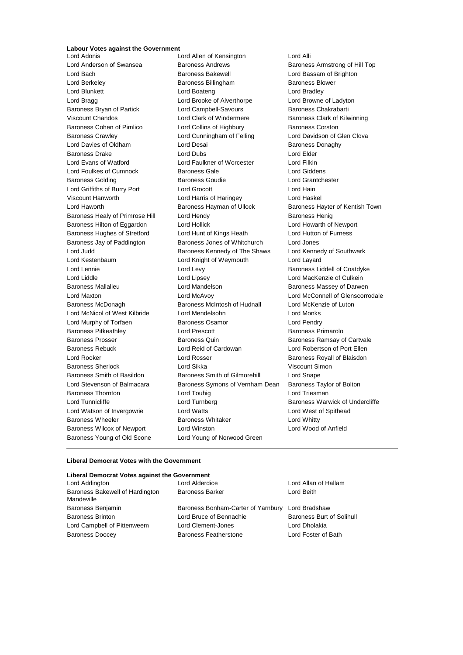### **Labour Votes against the Government**

Lord Anderson of Swansea Baroness Andrews Baroness Armstrong of Hill Top Lord Bach Baroness Bakewell Lord Bassam of Brighton Lord Berkeley **Baroness Billingham** Baroness Blower Lord Blunkett **Lord Boateng** Lord Bradley **Lord Bradley** Lord Bragg **Lord Brooke of Alverthorpe** Lord Browne of Ladyton Baroness Bryan of Partick **Lord Campbell-Savours** Baroness Chakrabarti Viscount Chandos Lord Clark of Windermere Baroness Clark of Kilwinning Baroness Cohen of Pimlico Lord Collins of Highbury Baroness Corston Baroness Crawley Lord Cunningham of Felling Lord Davidson of Glen Clova Lord Davies of Oldham **Lord Desai** Baroness Donaghy Baroness Drake Lord Dubs Lord Elder Lord Evans of Watford Lord Faulkner of Worcester Lord Filkin Lord Foulkes of Cumnock Baroness Gale Lord Giddens Baroness Golding **Baroness Goudie Lord Grantchester Baroness Goudie** Lord Grantchester Lord Griffiths of Burry Port Lord Grocott Lord Hain Viscount Hanworth Lord Harris of Haringey Lord Haskel Lord Haworth **Baroness Hayman of Ullock** Baroness Hayter of Kentish Town Baroness Healy of Primrose Hill Lord Hendy **Baroness Henig** Baroness Henig Baroness Hilton of Eggardon Lord Hollick Lord Howarth of Newport Baroness Hughes of Stretford Lord Hunt of Kings Heath Lord Hutton of Furness Baroness Jay of Paddington Baroness Jones of Whitchurch Lord Jones Lord Judd **Baroness Kennedy of The Shaws** Lord Kennedy of Southwark Lord Kestenbaum Lord Knight of Weymouth Lord Layard Lord Lennie **Lord Levy** Lord Levy **Baroness Liddell of Coatdyke** Lord Liddle Lord Lipsey Lord MacKenzie of Culkein Baroness Mallalieu Lord Mandelson Baroness Massey of Darwen Lord Maxton Lord McAvoy Lord McConnell of Glenscorrodale Baroness McDonagh Baroness McIntosh of Hudnall Lord McKenzie of Luton Lord McNicol of West Kilbride Lord Mendelsohn Lord Monks Lord Murphy of Torfaen **Baroness Osamor** Baroness Osamor Lord Pendry Baroness Pitkeathley **Lord Prescott** Baroness Primarolo Baroness Prosser Baroness Quin Baroness Ramsay of Cartvale Baroness Rebuck Lord Reid of Cardowan Lord Robertson of Port Ellen Lord Rooker **Lord Rosser** Lord Rosser **Baroness Royall of Blaisdon** Baroness Sherlock Lord Sikka Viscount Simon Baroness Smith of Basildon Baroness Smith of Gilmorehill Lord Snape Lord Stevenson of Balmacara Baroness Symons of Vernham Dean Baroness Taylor of Bolton Baroness Thornton **Lord Touhig** Lord Touhig Lord Triesman Lord Tunnicliffe **Lord Turnberg** Lord Turnberg **Baroness Warwick of Undercliffe** Lord Watson of Invergowrie Lord Watts Lord West of Spithead Baroness Wheeler **Baroness Whitaker Baroness Whitaker** Lord Whitty Baroness Wilcox of Newport Lord Winston Lord Wood of Anfield Baroness Young of Old Scone Lord Young of Norwood Green

Lord Allen of Kensington Lord Alli

#### **Liberal Democrat Votes with the Government**

#### **Liberal Democrat Votes against the Government**

| Lord Addington                                | Lord Alderdice                                   | Lord Allan of Hallam     |
|-----------------------------------------------|--------------------------------------------------|--------------------------|
| Baroness Bakewell of Hardington<br>Mandeville | <b>Baroness Barker</b>                           | Lord Beith               |
| Baroness Benjamin                             | Baroness Bonham-Carter of Yarnbury Lord Bradshaw |                          |
| <b>Baroness Brinton</b>                       | Lord Bruce of Bennachie                          | Baroness Burt of Solihul |
| Lord Campbell of Pittenweem                   | Lord Clement-Jones                               | Lord Dholakia            |
| <b>Baroness Doocey</b>                        | <b>Baroness Featherstone</b>                     | Lord Foster of Bath      |
|                                               |                                                  |                          |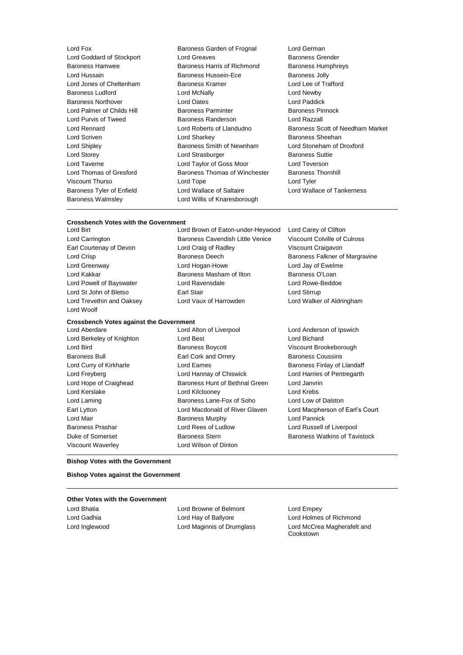Baroness Walmsley Lord Willis of Knaresborough

Lord Fox Baroness Garden of Frognal Lord German Lord Goddard of Stockport Lord Greaves **Baroness Grender** Baroness Grender Baroness Hamwee Baroness Harris of Richmond Baroness Humphreys Lord Hussain Baroness Hussein-Ece Baroness Jolly Lord Jones of Cheltenham Baroness Kramer Lord Lee of Trafford Baroness Ludford Lord McNally Lord Newby Baroness Northover Lord Oates Lord Paddick Lord Palmer of Childs Hill Baroness Parminter Baroness Pinnock Lord Purvis of Tweed **Baroness Randerson Baroness Randerson** Lord Razzall Lord Scriven Lord Sharkey Baroness Sheehan Lord Shipley **Baroness Smith of Newnham** Lord Stoneham of Droxford Lord Storey Lord Strasburger Baroness Suttie Lord Taverne Lord Taylor of Goss Moor Lord Teverson Lord Thomas of Gresford Baroness Thomas of Winchester Baroness Thornhill Viscount Thurso Lord Tope Lord Tyler Baroness Tyler of Enfield Lord Wallace of Saltaire Lord Wallace of Tankerness

Lord Rennard Lord Roberts of Llandudno Baroness Scott of Needham Market

#### **Crossbench Votes with the Government**

Lord Woolf

### **Crossbench Votes against the Government**

Lord Hope of Craighead **Baroness Hunt of Bethnal Green** Lord Janvrin Lord Kerslake Lord Kilclooney Lord Krebs Viscount Waverley Lord Wilson of Dinton

Lord Birt Lord Brown of Eaton-under-Heywood Lord Carey of Clifton Lord Carrington Baroness Cavendish Little Venice Viscount Colville of Culross Earl Courtenay of Devon Lord Craig of Radley Viscount Craigavon Lord Crisp **Baroness Deech** Baroness Deech Baroness Falkner of Margravine Lord Greenway Lord Hogan-Howe Lord Jay of Ewelme Lord Kakkar **Baroness Masham of Ilton** Baroness O'Loan Lord Powell of Bayswater Lord Ravensdale Lord Rowe-Beddoe Lord St John of Bletso **Earl Stair** Earl Stair **Lord Stirrup** Lord Trevethin and Oaksey Lord Vaux of Harrowden Lord Walker of Aldringham

Lord Aberdare Lord Alton of Liverpool Lord Anderson of Ipswich Lord Berkeley of Knighton Lord Best Lord Bichard Lord Bird Baroness Boycott Viscount Brookeborough Baroness Bull Earl Cork and Orrery Baroness Coussins Lord Curry of Kirkharle **Lord Eames** Lord Eames Baroness Finlay of Llandaff Lord Freyberg Lord Hannay of Chiswick Lord Harries of Pentregarth Lord Laming Baroness Lane-Fox of Soho Lord Low of Dalston Earl Lytton Lord Macdonald of River Glaven Lord Macpherson of Earl's Court Lord Mair **Baroness Murphy Constructs** Lord Pannick Baroness Prashar Lord Rees of Ludlow Lord Russell of Liverpool Duke of Somerset **Baroness Stern** Baroness Stern Baroness Watkins of Tavistock

#### **Bishop Votes with the Government**

**Bishop Votes against the Government**

#### **Other Votes with the Government**

Lord Bhatia Lord Browne of Belmont Lord Empey Lord Gadhia Lord Hay of Ballyore Lord Holmes of Richmond

Lord Inglewood Lord Maginnis of Drumglass Lord McCrea Magherafelt and **Cookstown**